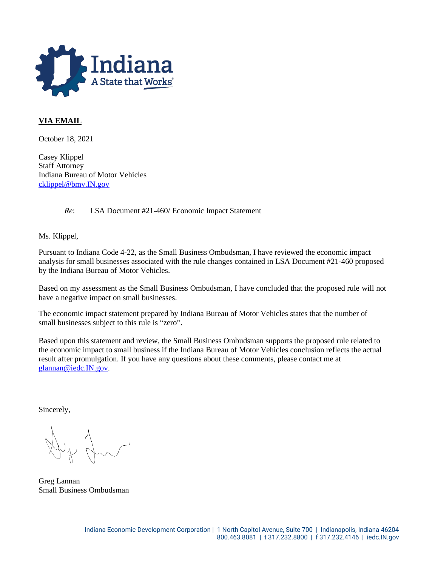

## **VIA EMAIL**

October 18, 2021

Casey Klippel Staff Attorney Indiana Bureau of Motor Vehicles [cklippel@bmv.IN.gov](mailto:cklippel@bmv.IN.gov)

*Re*: LSA Document #21-460/ Economic Impact Statement

Ms. Klippel,

Pursuant to Indiana Code 4-22, as the Small Business Ombudsman, I have reviewed the economic impact analysis for small businesses associated with the rule changes contained in LSA Document #21-460 proposed by the Indiana Bureau of Motor Vehicles.

Based on my assessment as the Small Business Ombudsman, I have concluded that the proposed rule will not have a negative impact on small businesses.

The economic impact statement prepared by Indiana Bureau of Motor Vehicles states that the number of small businesses subject to this rule is "zero".

Based upon this statement and review, the Small Business Ombudsman supports the proposed rule related to the economic impact to small business if the Indiana Bureau of Motor Vehicles conclusion reflects the actual result after promulgation. If you have any questions about these comments, please contact me at [glannan@iedc.IN.gov.](mailto:glannan@iedc.IN.gov)

Sincerely,

Greg Lannan Small Business Ombudsman